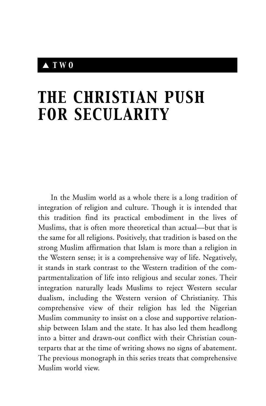## ▲ *TWO*

# *THE CHRISTIAN PUSH FOR SECULARITY*

In the Muslim world as a whole there is a long tradition of integration of religion and culture. Though it is intended that this tradition find its practical embodiment in the lives of Muslims, that is often more theoretical than actual—but that is the same for all religions. Positively, that tradition is based on the strong Muslim affirmation that Islam is more than a religion in the Western sense; it is a comprehensive way of life. Negatively, it stands in stark contrast to the Western tradition of the compartmentalization of life into religious and secular zones. Their integration naturally leads Muslims to reject Western secular dualism, including the Western version of Christianity. This comprehensive view of their religion has led the Nigerian Muslim community to insist on a close and supportive relationship between Islam and the state. It has also led them headlong into a bitter and drawn-out conflict with their Christian counterparts that at the time of writing shows no signs of abatement. The previous monograph in this series treats that comprehensive Muslim world view.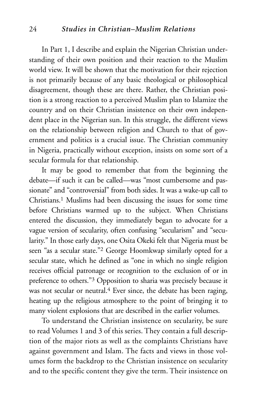#### 24 *Studies in Christian–Muslim Relations*

In Part 1, I describe and explain the Nigerian Christian understanding of their own position and their reaction to the Muslim world view. It will be shown that the motivation for their rejection is not primarily because of any basic theological or philosophical disagreement, though these are there. Rather, the Christian position is a strong reaction to a perceived Muslim plan to Islamize the country and on their Christian insistence on their own independent place in the Nigerian sun. In this struggle, the different views on the relationship between religion and Church to that of government and politics is a crucial issue. The Christian community in Nigeria, practically without exception, insists on some sort of a secular formula for that relationship.

It may be good to remember that from the beginning the debate—if such it can be called—was "most cumbersome and passionate" and "controversial" from both sides. It was a wake-up call to Christians.1 Muslims had been discussing the issues for some time before Christians warmed up to the subject. When Christians entered the discussion, they immediately began to advocate for a vague version of secularity, often confusing "secularism" and "secularity." In those early days, one Osita Okeki felt that Nigeria must be seen "as a secular state."2 George Hoomkwap similarly opted for a secular state, which he defined as "one in which no single religion receives official patronage or recognition to the exclusion of or in preference to others."3 Opposition to sharia was precisely because it was not secular or neutral.<sup>4</sup> Ever since, the debate has been raging, heating up the religious atmosphere to the point of bringing it to many violent explosions that are described in the earlier volumes.

To understand the Christian insistence on secularity, be sure to read Volumes 1 and 3 of this series. They contain a full description of the major riots as well as the complaints Christians have against government and Islam. The facts and views in those volumes form the backdrop to the Christian insistence on secularity and to the specific content they give the term. Their insistence on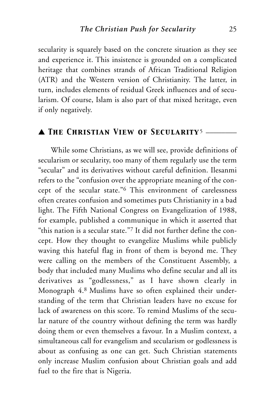secularity is squarely based on the concrete situation as they see and experience it. This insistence is grounded on a complicated heritage that combines strands of African Traditional Religion (ATR) and the Western version of Christianity. The latter, in turn, includes elements of residual Greek influences and of secularism. Of course, Islam is also part of that mixed heritage, even if only negatively.

## ▲ *The Christian View of Secularity*<sup>5</sup> \_\_\_\_\_\_\_\_

While some Christians, as we will see, provide definitions of secularism or secularity, too many of them regularly use the term "secular" and its derivatives without careful definition. Ilesanmi refers to the "confusion over the appropriate meaning of the concept of the secular state."6 This environment of carelessness often creates confusion and sometimes puts Christianity in a bad light. The Fifth National Congress on Evangelization of 1988, for example, published a communique in which it asserted that "this nation is a secular state."7 It did not further define the concept. How they thought to evangelize Muslims while publicly waving this hateful flag in front of them is beyond me. They were calling on the members of the Constituent Assembly, a body that included many Muslims who define secular and all its derivatives as "godlessness," as I have shown clearly in Monograph 4.8 Muslims have so often explained their understanding of the term that Christian leaders have no excuse for lack of awareness on this score. To remind Muslims of the secular nature of the country without defining the term was hardly doing them or even themselves a favour. In a Muslim context, a simultaneous call for evangelism and secularism or godlessness is about as confusing as one can get. Such Christian statements only increase Muslim confusion about Christian goals and add fuel to the fire that is Nigeria.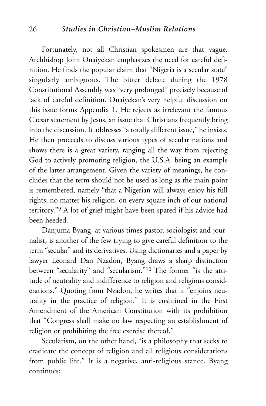Fortunately, not all Christian spokesmen are that vague. Archbishop John Onaiyekan emphasizes the need for careful definition. He finds the popular claim that "Nigeria is a secular state" singularly ambiguous. The bitter debate during the 1978 Constitutional Assembly was "very prolonged" precisely because of lack of careful definition. Onaiyekan's very helpful discussion on this issue forms Appendix 1. He rejects as irrelevant the famous Caesar statement by Jesus, an issue that Christians frequently bring into the discussion. It addresses "a totally different issue," he insists. He then proceeds to discuss various types of secular nations and shows there is a great variety, ranging all the way from rejecting God to actively promoting religion, the U.S.A. being an example of the latter arrangement. Given the variety of meanings, he concludes that the term should not be used as long as the main point is remembered, namely "that a Nigerian will always enjoy his full rights, no matter his religion, on every square inch of our national territory."9 A lot of grief might have been spared if his advice had been heeded.

Danjuma Byang, at various times pastor, sociologist and journalist, is another of the few trying to give careful definition to the term "secular" and its derivatives. Using dictionaries and a paper by lawyer Leonard Dan Nzadon, Byang draws a sharp distinction between "secularity" and "secularism."10 The former "is the attitude of neutrality and indifference to religion and religious considerations." Quoting from Nzadon, he writes that it "enjoins neutrality in the practice of religion." It is enshrined in the First Amendment of the American Constitution with its prohibition that "Congress shall make no law respecting an establishment of religion or prohibiting the free exercise thereof."

Secularism, on the other hand, "is a philosophy that seeks to eradicate the concept of religion and all religious considerations from public life." It is a negative, anti-religious stance. Byang continues: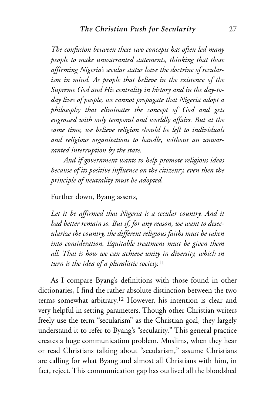*The confusion between these two concepts has often led many people to make unwarranted statements, thinking that those affirming Nigeria's secular status have the doctrine of secularism in mind. As people that believe in the existence of the Supreme God and His centrality in history and in the day-today lives of people, we cannot propagate that Nigeria adopt a philosophy that eliminates the concept of God and gets engrossed with only temporal and worldly affairs. But at the same time, we believe religion should be left to individuals and religious organisations to handle, without an unwarranted interruption by the state.*

*And if government wants to help promote religious ideas because of its positive influence on the citizenry, even then the principle of neutrality must be adopted.*

Further down, Byang asserts,

*Let it be affirmed that Nigeria is a secular country. And it had better remain so. But if, for any reason, we want to desecularize the country, the different religious faiths must be taken into consideration. Equitable treatment must be given them all. That is how we can achieve unity in diversity, which in turn is the idea of a pluralistic society.*<sup>11</sup>

As I compare Byang's definitions with those found in other dictionaries, I find the rather absolute distinction between the two terms somewhat arbitrary.12 However, his intention is clear and very helpful in setting parameters. Though other Christian writers freely use the term "secularism" as the Christian goal, they largely understand it to refer to Byang's "secularity." This general practice creates a huge communication problem. Muslims, when they hear or read Christians talking about "secularism," assume Christians are calling for what Byang and almost all Christians with him, in fact, reject. This communication gap has outlived all the bloodshed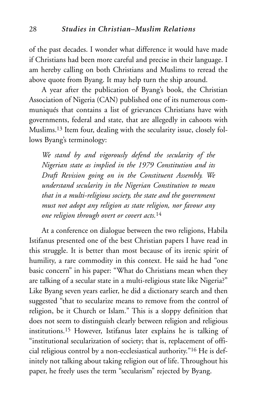of the past decades. I wonder what difference it would have made if Christians had been more careful and precise in their language. I am hereby calling on both Christians and Muslims to reread the above quote from Byang. It may help turn the ship around.

A year after the publication of Byang's book, the Christian Association of Nigeria (CAN) published one of its numerous communiqués that contains a list of grievances Christians have with governments, federal and state, that are allegedly in cahoots with Muslims.13 Item four, dealing with the secularity issue, closely follows Byang's terminology:

*We stand by and vigorously defend the secularity of the Nigerian state as implied in the 1979 Constitution and its Draft Revision going on in the Constituent Assembly. We understand secularity in the Nigerian Constitution to mean that in a multi-religious society, the state and the government must not adopt any religion as state religion, nor favour any one religion through overt or covert acts.*<sup>14</sup>

At a conference on dialogue between the two religions, Habila Istifanus presented one of the best Christian papers I have read in this struggle. It is better than most because of its irenic spirit of humility, a rare commodity in this context. He said he had "one basic concern" in his paper: "What do Christians mean when they are talking of a secular state in a multi-religious state like Nigeria?" Like Byang seven years earlier, he did a dictionary search and then suggested "that to secularize means to remove from the control of religion, be it Church or Islam." This is a sloppy definition that does not seem to distinguish clearly between religion and religious institutions.15 However, Istifanus later explains he is talking of "institutional secularization of society; that is, replacement of official religious control by a non-ecclesiastical authority."16 He is definitely not talking about taking religion out of life. Throughout his paper, he freely uses the term "secularism" rejected by Byang.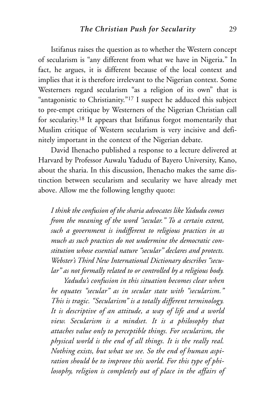Istifanus raises the question as to whether the Western concept of secularism is "any different from what we have in Nigeria." In fact, he argues, it is different because of the local context and implies that it is therefore irrelevant to the Nigerian context. Some Westerners regard secularism "as a religion of its own" that is "antagonistic to Christianity."17 I suspect he adduced this subject to pre-empt critique by Westerners of the Nigerian Christian call for secularity.18 It appears that Istifanus forgot momentarily that Muslim critique of Western secularism is very incisive and definitely important in the context of the Nigerian debate.

David Ihenacho published a response to a lecture delivered at Harvard by Professor Auwalu Yadudu of Bayero University, Kano, about the sharia. In this discussion, Ihenacho makes the same distinction between secularism and secularity we have already met above. Allow me the following lengthy quote:

*I think the confusion of the sharia advocates like Yadudu comes from the meaning of the word "secular." To a certain extent, such a government is indifferent to religious practices in as much as such practices do not undermine the democratic constitution whose essential nature "secular" declares and protects. Webster's Third New International Dictionary describes "secular" as not formally related to or controlled by a religious body.*

*Yadudu's confusion in this situation becomes clear when he equates "secular" as in secular state with "secularism." This is tragic. "Secularism" is a totally different terminology. It is descriptive of an attitude, a way of life and a world view. Secularism is a mindset. It is a philosophy that attaches value only to perceptible things. For secularism, the physical world is the end of all things. It is the really real. Nothing exists, but what we see. So the end of human aspiration should be to improve this world. For this type of philosophy, religion is completely out of place in the affairs of*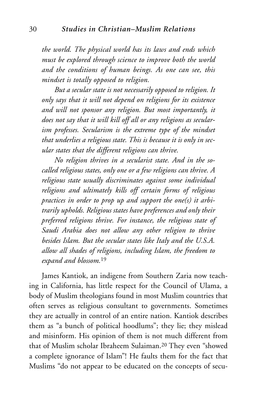*the world. The physical world has its laws and ends which must be explored through science to improve both the world and the conditions of human beings. As one can see, this mindset is totally opposed to religion.*

*But a secular state is not necessarily opposed to religion. It only says that it will not depend on religions for its existence and will not sponsor any religion. But most importantly, it does not say that it will kill off all or any religions as secularism professes. Secularism is the extreme type of the mindset that underlies a religious state. This is because it is only in secular states that the different religions can thrive.*

*No religion thrives in a secularist state. And in the socalled religious states, only one or a few religions can thrive. A religious state usually discriminates against some individual religions and ultimately kills off certain forms of religious practices in order to prop up and support the one(s) it arbitrarily upholds. Religious states have preferences and only their preferred religions thrive. For instance, the religious state of Saudi Arabia does not allow any other religion to thrive besides Islam. But the secular states like Italy and the U.S.A. allow all shades of religions, including Islam, the freedom to expand and blossom.*<sup>19</sup>

James Kantiok, an indigene from Southern Zaria now teaching in California, has little respect for the Council of Ulama, a body of Muslim theologians found in most Muslim countries that often serves as religious consultant to governments. Sometimes they are actually in control of an entire nation. Kantiok describes them as "a bunch of political hoodlums"; they lie; they mislead and misinform. His opinion of them is not much different from that of Muslim scholar Ibraheem Sulaiman.20 They even "showed a complete ignorance of Islam"! He faults them for the fact that Muslims "do not appear to be educated on the concepts of secu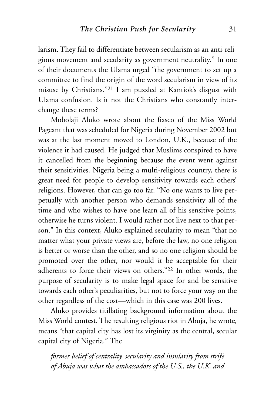larism. They fail to differentiate between secularism as an anti-religious movement and secularity as government neutrality." In one of their documents the Ulama urged "the government to set up a committee to find the origin of the word secularism in view of its misuse by Christians."21 I am puzzled at Kantiok's disgust with Ulama confusion. Is it not the Christians who constantly interchange these terms?

Mobolaji Aluko wrote about the fiasco of the Miss World Pageant that was scheduled for Nigeria during November 2002 but was at the last moment moved to London, U.K., because of the violence it had caused. He judged that Muslims conspired to have it cancelled from the beginning because the event went against their sensitivities. Nigeria being a multi-religious country, there is great need for people to develop sensitivity towards each others' religions. However, that can go too far. "No one wants to live perpetually with another person who demands sensitivity all of the time and who wishes to have one learn all of his sensitive points, otherwise he turns violent. I would rather not live next to that person." In this context, Aluko explained secularity to mean "that no matter what your private views are, before the law, no one religion is better or worse than the other, and so no one religion should be promoted over the other, nor would it be acceptable for their adherents to force their views on others."22 In other words, the purpose of secularity is to make legal space for and be sensitive towards each other's peculiarities, but not to force your way on the other regardless of the cost—which in this case was 200 lives.

Aluko provides titillating background information about the Miss World contest. The resulting religious riot in Abuja, he wrote, means "that capital city has lost its virginity as the central, secular capital city of Nigeria." The

*former belief of centrality, secularity and insularity from strife of Abuja was what the ambassadors of the U.S., the U.K. and*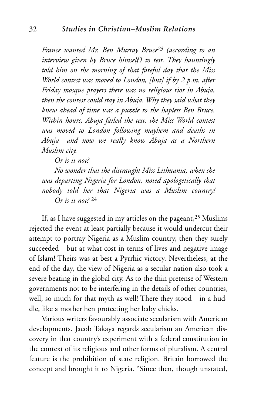*France wanted Mr. Ben Murray Bruce23 (according to an interview given by Bruce himself) to test. They hauntingly told him on the morning of that fateful day that the Miss World contest was moved to London, [but] if by 2 p.m. after Friday mosque prayers there was no religious riot in Abuja, then the contest could stay in Abuja. Why they said what they knew ahead of time was a puzzle to the hapless Ben Bruce. Within hours, Abuja failed the test: the Miss World contest was moved to London following mayhem and deaths in Abuja—and now we really know Abuja as a Northern Muslim city.*

*Or is it not?*

*No wonder that the distraught Miss Lithuania, when she was departing Nigeria for London, noted apologetically that nobody told her that Nigeria was a Muslim country! Or is it not?* <sup>24</sup>

If, as I have suggested in my articles on the pageant,<sup>25</sup> Muslims rejected the event at least partially because it would undercut their attempt to portray Nigeria as a Muslim country, then they surely succeeded—but at what cost in terms of lives and negative image of Islam! Theirs was at best a Pyrrhic victory. Nevertheless, at the end of the day, the view of Nigeria as a secular nation also took a severe beating in the global city. As to the thin pretense of Western governments not to be interfering in the details of other countries, well, so much for that myth as well! There they stood—in a huddle, like a mother hen protecting her baby chicks.

Various writers favourably associate secularism with American developments. Jacob Takaya regards secularism an American discovery in that country's experiment with a federal constitution in the context of its religious and other forms of pluralism. A central feature is the prohibition of state religion. Britain borrowed the concept and brought it to Nigeria. "Since then, though unstated,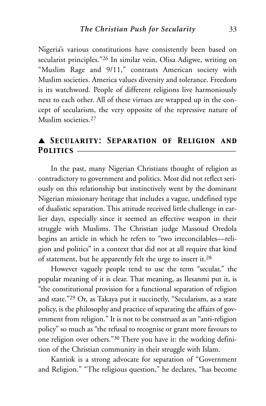Nigeria's various constitutions have consistently been based on secularist principles."26 In similar vein, Olisa Adigwe, writing on "Muslim Rage and 9/11," contrasts American society with Muslim societies. America values diversity and tolerance. Freedom is its watchword. People of different religions live harmoniously next to each other. All of these virtues are wrapped up in the concept of secularism, the very opposite of the repressive nature of Muslim societies<sup>27</sup>

## ▲ *Secularity: Separation of Religion and* POLITICS —

In the past, many Nigerian Christians thought of religion as contradictory to government and politics. Most did not reflect seriously on this relationship but instinctively went by the dominant Nigerian missionary heritage that includes a vague, undefined type of dualistic separation. This attitude received little challenge in earlier days, especially since it seemed an effective weapon in their struggle with Muslims. The Christian judge Massoud Oredola begins an article in which he refers to "two irreconcilables—religion and politics" in a context that did not at all require that kind of statement, but he apparently felt the urge to insert it.28

However vaguely people tend to use the term "secular," the popular meaning of it is clear. That meaning, as Ilesanmi put it, is "the constitutional provision for a functional separation of religion and state."29 Or, as Takaya put it succinctly, "Secularism, as a state policy, is the philosophy and practice of separating the affairs of government from religion." It is not to be construed as an "anti-religion policy" so much as "the refusal to recognise or grant more favours to one religion over others."30 There you have it: the working definition of the Christian community in their struggle with Islam.

Kantiok is a strong advocate for separation of "Government and Religion." "The religious question," he declares, "has become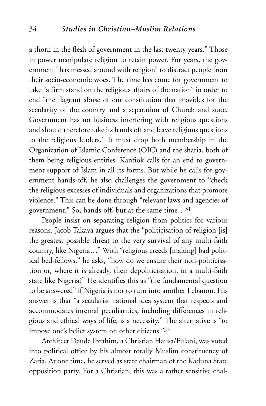a thorn in the flesh of government in the last twenty years." Those in power manipulate religion to retain power. For years, the government "has messed around with religion" to distract people from their socio-economic woes. The time has come for government to take "a firm stand on the religious affairs of the nation" in order to end "the flagrant abuse of our constitution that provides for the secularity of the country and a separation of Church and state. Government has no business interfering with religious questions and should therefore take its hands off and leave religious questions to the religious leaders." It must drop both membership in the Organization of Islamic Conference (OIC) and the sharia, both of them being religious entities. Kantiok calls for an end to government support of Islam in all its forms. But while he calls for government hands-off, he also challenges the government to "check the religious excesses of individuals and organizations that promote violence." This can be done through "relevant laws and agencies of government." So, hands-off, but at the same time…31

People insist on separating religion from politics for various reasons. Jacob Takaya argues that the "politicisation of religion [is] the greatest possible threat to the very survival of any multi-faith country, like Nigeria…" With "religious creeds [making] bad political bed-fellows," he asks, "how do we ensure their non-politicisation or, where it is already, their depoliticisation, in a multi-faith state like Nigeria?" He identifies this as "the fundamental question to be answered" if Nigeria is not to turn into another Lebanon. His answer is that "a secularist national idea system that respects and accommodates internal peculiarities, including differences in religious and ethical ways of life, is a necessity." The alternative is "to impose one's belief system on other citizens."32

Architect Dauda Ibrahim, a Christian Hausa/Fulani, was voted into political office by his almost totally Muslim constituency of Zaria. At one time, he served as state chairman of the Kaduna State opposition party. For a Christian, this was a rather sensitive chal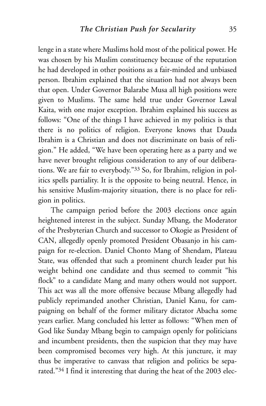lenge in a state where Muslims hold most of the political power. He was chosen by his Muslim constituency because of the reputation he had developed in other positions as a fair-minded and unbiased person. Ibrahim explained that the situation had not always been that open. Under Governor Balarabe Musa all high positions were given to Muslims. The same held true under Governor Lawal Kaita, with one major exception. Ibrahim explained his success as follows: "One of the things I have achieved in my politics is that there is no politics of religion. Everyone knows that Dauda Ibrahim is a Christian and does not discriminate on basis of religion." He added, "We have been operating here as a party and we have never brought religious consideration to any of our deliberations. We are fair to everybody."33 So, for Ibrahim, religion in politics spells partiality. It is the opposite to being neutral. Hence, in his sensitive Muslim-majority situation, there is no place for religion in politics.

The campaign period before the 2003 elections once again heightened interest in the subject. Sunday Mbang, the Moderator of the Presbyterian Church and successor to Okogie as President of CAN, allegedly openly promoted President Obasanjo in his campaign for re-election. Daniel Chonto Mang of Shendam, Plateau State, was offended that such a prominent church leader put his weight behind one candidate and thus seemed to commit "his flock" to a candidate Mang and many others would not support. This act was all the more offensive because Mbang allegedly had publicly reprimanded another Christian, Daniel Kanu, for campaigning on behalf of the former military dictator Abacha some years earlier. Mang concluded his letter as follows: "When men of God like Sunday Mbang begin to campaign openly for politicians and incumbent presidents, then the suspicion that they may have been compromised becomes very high. At this juncture, it may thus be imperative to canvass that religion and politics be separated."34 I find it interesting that during the heat of the 2003 elec-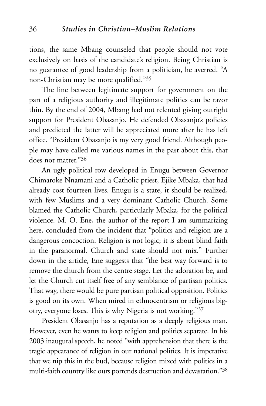tions, the same Mbang counseled that people should not vote exclusively on basis of the candidate's religion. Being Christian is no guarantee of good leadership from a politician, he averred. "A non-Christian may be more qualified."35

The line between legitimate support for government on the part of a religious authority and illegitimate politics can be razor thin. By the end of 2004, Mbang had not relented giving outright support for President Obasanjo. He defended Obasanjo's policies and predicted the latter will be appreciated more after he has left office. "President Obasanjo is my very good friend. Although people may have called me various names in the past about this, that does not matter."36

An ugly political row developed in Enugu between Governor Chimaroke Nnamani and a Catholic priest, Ejike Mbaka, that had already cost fourteen lives. Enugu is a state, it should be realized, with few Muslims and a very dominant Catholic Church. Some blamed the Catholic Church, particularly Mbaka, for the political violence. M. O. Ene, the author of the report I am summarizing here, concluded from the incident that "politics and religion are a dangerous concoction. Religion is not logic; it is about blind faith in the paranormal. Church and state should not mix." Further down in the article, Ene suggests that "the best way forward is to remove the church from the centre stage. Let the adoration be, and let the Church cut itself free of any semblance of partisan politics. That way, there would be pure partisan political opposition. Politics is good on its own. When mired in ethnocentrism or religious bigotry, everyone loses. This is why Nigeria is not working."37

President Obasanjo has a reputation as a deeply religious man. However, even he wants to keep religion and politics separate. In his 2003 inaugural speech, he noted "with apprehension that there is the tragic appearance of religion in our national politics. It is imperative that we nip this in the bud, because religion mixed with politics in a multi-faith country like ours portends destruction and devastation."38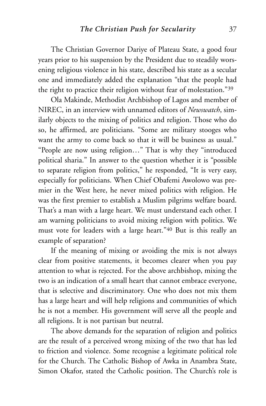The Christian Governor Dariye of Plateau State, a good four years prior to his suspension by the President due to steadily worsening religious violence in his state, described his state as a secular one and immediately added the explanation "that the people had the right to practice their religion without fear of molestation."39

Ola Makinde, Methodist Archbishop of Lagos and member of NIREC, in an interview with unnamed editors of *Newswatch*, similarly objects to the mixing of politics and religion. Those who do so, he affirmed, are politicians. "Some are military stooges who want the army to come back so that it will be business as usual." "People are now using religion…" That is why they "introduced political sharia." In answer to the question whether it is "possible to separate religion from politics," he responded, "It is very easy, especially for politicians. When Chief Obafemi Awolowo was premier in the West here, he never mixed politics with religion. He was the first premier to establish a Muslim pilgrims welfare board. That's a man with a large heart. We must understand each other. I am warning politicians to avoid mixing religion with politics. We must vote for leaders with a large heart."40 But is this really an example of separation?

If the meaning of mixing or avoiding the mix is not always clear from positive statements, it becomes clearer when you pay attention to what is rejected. For the above archbishop, mixing the two is an indication of a small heart that cannot embrace everyone, that is selective and discriminatory. One who does not mix them has a large heart and will help religions and communities of which he is not a member. His government will serve all the people and all religions. It is not partisan but neutral.

The above demands for the separation of religion and politics are the result of a perceived wrong mixing of the two that has led to friction and violence. Some recognise a legitimate political role for the Church. The Catholic Bishop of Awka in Anambra State, Simon Okafor, stated the Catholic position. The Church's role is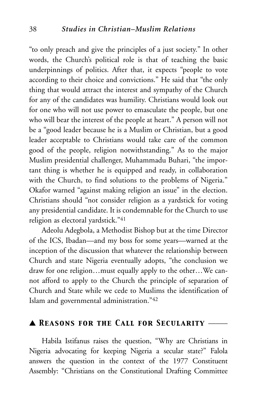"to only preach and give the principles of a just society." In other words, the Church's political role is that of teaching the basic underpinnings of politics. After that, it expects "people to vote according to their choice and convictions." He said that "the only thing that would attract the interest and sympathy of the Church for any of the candidates was humility. Christians would look out for one who will not use power to emasculate the people, but one who will bear the interest of the people at heart." A person will not be a "good leader because he is a Muslim or Christian, but a good leader acceptable to Christians would take care of the common good of the people, religion notwithstanding." As to the major Muslim presidential challenger, Muhammadu Buhari, "the important thing is whether he is equipped and ready, in collaboration with the Church, to find solutions to the problems of Nigeria." Okafor warned "against making religion an issue" in the election. Christians should "not consider religion as a yardstick for voting any presidential candidate. It is condemnable for the Church to use religion as electoral yardstick."41

Adeolu Adegbola, a Methodist Bishop but at the time Director of the ICS, Ibadan—and my boss for some years—warned at the inception of the discussion that whatever the relationship between Church and state Nigeria eventually adopts, "the conclusion we draw for one religion…must equally apply to the other…We cannot afford to apply to the Church the principle of separation of Church and State while we cede to Muslims the identification of Islam and governmental administration."42

#### ▲ *Reasons for the Call for Secularity* \_\_\_\_\_

Habila Istifanus raises the question, "Why are Christians in Nigeria advocating for keeping Nigeria a secular state?" Falola answers the question in the context of the 1977 Constituent Assembly: "Christians on the Constitutional Drafting Committee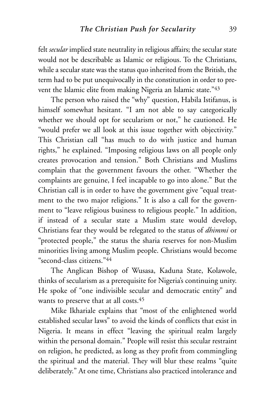felt *secular* implied state neutrality in religious affairs; the secular state would not be describable as Islamic or religious. To the Christians, while a secular state was the status quo inherited from the British, the term had to be put unequivocally in the constitution in order to prevent the Islamic elite from making Nigeria an Islamic state."43

The person who raised the "why" question, Habila Istifanus, is himself somewhat hesitant. "I am not able to say categorically whether we should opt for secularism or not," he cautioned. He "would prefer we all look at this issue together with objectivity." This Christian call "has much to do with justice and human rights," he explained. "Imposing religious laws on all people only creates provocation and tension." Both Christians and Muslims complain that the government favours the other. "Whether the complaints are genuine, I feel incapable to go into alone." But the Christian call is in order to have the government give "equal treatment to the two major religions." It is also a call for the government to "leave religious business to religious people." In addition, if instead of a secular state a Muslim state would develop, Christians fear they would be relegated to the status of *dhimmi* or "protected people," the status the sharia reserves for non-Muslim minorities living among Muslim people. Christians would become "second-class citizens."44

The Anglican Bishop of Wusasa, Kaduna State, Kolawole, thinks of secularism as a prerequisite for Nigeria's continuing unity. He spoke of "one indivisible secular and democratic entity" and wants to preserve that at all costs.45

Mike Ikhariale explains that "most of the enlightened world established secular laws" to avoid the kinds of conflicts that exist in Nigeria. It means in effect "leaving the spiritual realm largely within the personal domain." People will resist this secular restraint on religion, he predicted, as long as they profit from commingling the spiritual and the material. They will blur these realms "quite deliberately." At one time, Christians also practiced intolerance and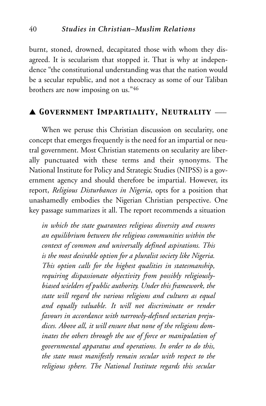burnt, stoned, drowned, decapitated those with whom they disagreed. It is secularism that stopped it. That is why at independence "the constitutional understanding was that the nation would be a secular republic, and not a theocracy as some of our Taliban brothers are now imposing on us."46

#### ▲ *Government Impartiality, Neutrality* \_\_\_

When we peruse this Christian discussion on secularity, one concept that emerges frequently is the need for an impartial or neutral government. Most Christian statements on secularity are liberally punctuated with these terms and their synonyms. The National Institute for Policy and Strategic Studies (NIPSS) is a government agency and should therefore be impartial. However, its report, *Religious Disturbances in Nigeria*, opts for a position that unashamedly embodies the Nigerian Christian perspective. One key passage summarizes it all. The report recommends a situation

*in which the state guarantees religious diversity and ensures an equilibrium between the religious communities within the context of common and universally defined aspirations. This is the most desirable option for a pluralist society like Nigeria. This option calls for the highest qualities in statesmanship, requiring dispassionate objectivity from possibly religiouslybiased wielders of public authority. Under this framework, the state will regard the various religions and cultures as equal and equally valuable. It will not discriminate or render favours in accordance with narrowly-defined sectarian prejudices. Above all, it will ensure that none of the religions dominates the others through the use of force or manipulation of governmental apparatus and operations. In order to do this, the state must manifestly remain secular with respect to the religious sphere. The National Institute regards this secular*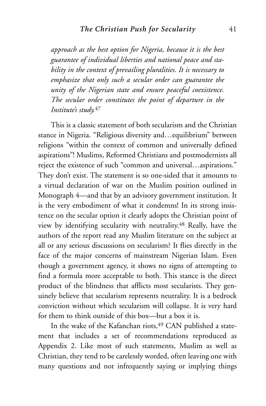*approach as the best option for Nigeria, because it is the best guarantee of individual liberties and national peace and stability in the context of prevailing pluralities. It is necessary to emphasize that only such a secular order can guarantee the unity of the Nigerian state and ensure peaceful coexistence. The secular order constitutes the point of departure in the Institute's study.*<sup>47</sup>

This is a classic statement of both secularism and the Christian stance in Nigeria. "Religious diversity and…equilibrium" between religions "within the context of common and universally defined aspirations"! Muslims, Reformed Christians and postmodernists all reject the existence of such "common and universal…aspirations." They don't exist. The statement is so one-sided that it amounts to a virtual declaration of war on the Muslim position outlined in Monograph 4—and that by an advisory government institution. It is the very embodiment of what it condemns! In its strong insistence on the secular option it clearly adopts the Christian point of view by identifying secularity with neutrality.48 Really, have the authors of the report read any Muslim literature on the subject at all or any serious discussions on secularism? It flies directly in the face of the major concerns of mainstream Nigerian Islam. Even though a government agency, it shows no signs of attempting to find a formula more acceptable to both. This stance is the direct product of the blindness that afflicts most secularists. They genuinely believe that secularism represents neutrality. It is a bedrock conviction without which secularism will collapse. It is very hard for them to think outside of this box—but a box it is.

In the wake of the Kafanchan riots, <sup>49</sup> CAN published a statement that includes a set of recommendations reproduced as Appendix 2. Like most of such statements, Muslim as well as Christian, they tend to be carelessly worded, often leaving one with many questions and not infrequently saying or implying things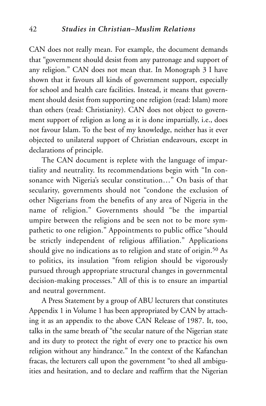CAN does not really mean. For example, the document demands that "government should desist from any patronage and support of any religion." CAN does not mean that. In Monograph 3 I have shown that it favours all kinds of government support, especially for school and health care facilities. Instead, it means that government should desist from supporting one religion (read: Islam) more than others (read: Christianity). CAN does not object to government support of religion as long as it is done impartially, i.e., does not favour Islam. To the best of my knowledge, neither has it ever objected to unilateral support of Christian endeavours, except in declarations of principle.

The CAN document is replete with the language of impartiality and neutrality. Its recommendations begin with "In consonance with Nigeria's secular constitution…" On basis of that secularity, governments should not "condone the exclusion of other Nigerians from the benefits of any area of Nigeria in the name of religion." Governments should "be the impartial umpire between the religions and be seen not to be more sympathetic to one religion." Appointments to public office "should be strictly independent of religious affiliation." Applications should give no indications as to religion and state of origin.<sup>50</sup> As to politics, its insulation "from religion should be vigorously pursued through appropriate structural changes in governmental decision-making processes." All of this is to ensure an impartial and neutral government.

A Press Statement by a group of ABU lecturers that constitutes Appendix 1 in Volume 1 has been appropriated by CAN by attaching it as an appendix to the above CAN Release of 1987. It, too, talks in the same breath of "the secular nature of the Nigerian state and its duty to protect the right of every one to practice his own religion without any hindrance." In the context of the Kafanchan fracas, the lecturers call upon the government "to shed all ambiguities and hesitation, and to declare and reaffirm that the Nigerian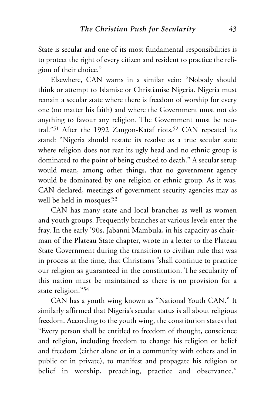State is secular and one of its most fundamental responsibilities is to protect the right of every citizen and resident to practice the religion of their choice."

Elsewhere, CAN warns in a similar vein: "Nobody should think or attempt to Islamise or Christianise Nigeria. Nigeria must remain a secular state where there is freedom of worship for every one (no matter his faith) and where the Government must not do anything to favour any religion. The Government must be neutral."<sup>51</sup> After the 1992 Zangon-Kataf riots,<sup>52</sup> CAN repeated its stand: "Nigeria should restate its resolve as a true secular state where religion does not rear its ugly head and no ethnic group is dominated to the point of being crushed to death." A secular setup would mean, among other things, that no government agency would be dominated by one religion or ethnic group. As it was, CAN declared, meetings of government security agencies may as well be held in mosques!53

CAN has many state and local branches as well as women and youth groups. Frequently branches at various levels enter the fray. In the early '90s, Jabanni Mambula, in his capacity as chairman of the Plateau State chapter, wrote in a letter to the Plateau State Government during the transition to civilian rule that was in process at the time, that Christians "shall continue to practice our religion as guaranteed in the constitution. The secularity of this nation must be maintained as there is no provision for a state religion."54

CAN has a youth wing known as "National Youth CAN." It similarly affirmed that Nigeria's secular status is all about religious freedom. According to the youth wing, the constitution states that "Every person shall be entitled to freedom of thought, conscience and religion, including freedom to change his religion or belief and freedom (either alone or in a community with others and in public or in private), to manifest and propagate his religion or belief in worship, preaching, practice and observance."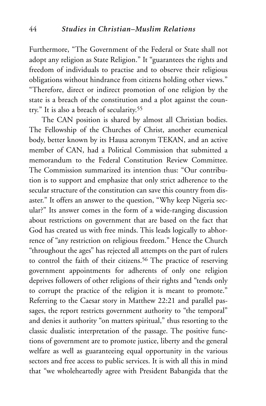Furthermore, "The Government of the Federal or State shall not adopt any religion as State Religion." It "guarantees the rights and freedom of individuals to practise and to observe their religious obligations without hindrance from citizens holding other views." "Therefore, direct or indirect promotion of one religion by the state is a breach of the constitution and a plot against the country." It is also a breach of secularity.55

The CAN position is shared by almost all Christian bodies. The Fellowship of the Churches of Christ, another ecumenical body, better known by its Hausa acronym TEKAN, and an active member of CAN, had a Political Commission that submitted a memorandum to the Federal Constitution Review Committee. The Commission summarized its intention thus: "Our contribution is to support and emphasize that only strict adherence to the secular structure of the constitution can save this country from disaster." It offers an answer to the question, "Why keep Nigeria secular?" Its answer comes in the form of a wide-ranging discussion about restrictions on government that are based on the fact that God has created us with free minds. This leads logically to abhorrence of "any restriction on religious freedom." Hence the Church "throughout the ages" has rejected all attempts on the part of rulers to control the faith of their citizens.<sup>56</sup> The practice of reserving government appointments for adherents of only one religion deprives followers of other religions of their rights and "tends only to corrupt the practice of the religion it is meant to promote." Referring to the Caesar story in Matthew 22:21 and parallel passages, the report restricts government authority to "the temporal" and denies it authority "on matters spiritual," thus resorting to the classic dualistic interpretation of the passage. The positive functions of government are to promote justice, liberty and the general welfare as well as guaranteeing equal opportunity in the various sectors and free access to public services. It is with all this in mind that "we wholeheartedly agree with President Babangida that the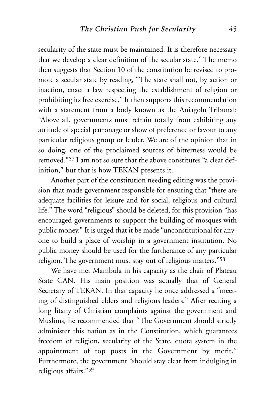secularity of the state must be maintained. It is therefore necessary that we develop a clear definition of the secular state." The memo then suggests that Section 10 of the constitution be revised to promote a secular state by reading, "The state shall not, by action or inaction, enact a law respecting the establishment of religion or prohibiting its free exercise." It then supports this recommendation with a statement from a body known as the Aniagolu Tribunal: "Above all, governments must refrain totally from exhibiting any attitude of special patronage or show of preference or favour to any particular religious group or leader. We are of the opinion that in so doing, one of the proclaimed sources of bitterness would be removed."57 I am not so sure that the above constitutes "a clear definition," but that is how TEKAN presents it.

Another part of the constitution needing editing was the provision that made government responsible for ensuring that "there are adequate facilities for leisure and for social, religious and cultural life." The word "religious" should be deleted, for this provision "has encouraged governments to support the building of mosques with public money." It is urged that it be made "unconstitutional for anyone to build a place of worship in a government institution. No public money should be used for the furtherance of any particular religion. The government must stay out of religious matters."58

We have met Mambula in his capacity as the chair of Plateau State CAN. His main position was actually that of General Secretary of TEKAN. In that capacity he once addressed a "meeting of distinguished elders and religious leaders." After reciting a long litany of Christian complaints against the government and Muslims, he recommended that "The Government should strictly administer this nation as in the Constitution, which guarantees freedom of religion, secularity of the State, quota system in the appointment of top posts in the Government by merit." Furthermore, the government "should stay clear from indulging in religious affairs."59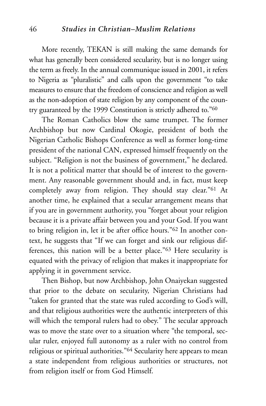More recently, TEKAN is still making the same demands for what has generally been considered secularity, but is no longer using the term as freely. In the annual communique issued in 2001, it refers to Nigeria as "pluralistic" and calls upon the government "to take measures to ensure that the freedom of conscience and religion as well as the non-adoption of state religion by any component of the country guaranteed by the 1999 Constitution is strictly adhered to."60

The Roman Catholics blow the same trumpet. The former Archbishop but now Cardinal Okogie, president of both the Nigerian Catholic Bishops Conference as well as former long-time president of the national CAN, expressed himself frequently on the subject. "Religion is not the business of government," he declared. It is not a political matter that should be of interest to the government. Any reasonable government should and, in fact, must keep completely away from religion. They should stay clear."61 At another time, he explained that a secular arrangement means that if you are in government authority, you "forget about your religion because it is a private affair between you and your God. If you want to bring religion in, let it be after office hours."62 In another context, he suggests that "If we can forget and sink our religious differences, this nation will be a better place."63 Here secularity is equated with the privacy of religion that makes it inappropriate for applying it in government service.

Then Bishop, but now Archbishop, John Onaiyekan suggested that prior to the debate on secularity, Nigerian Christians had "taken for granted that the state was ruled according to God's will, and that religious authorities were the authentic interpreters of this will which the temporal rulers had to obey." The secular approach was to move the state over to a situation where "the temporal, secular ruler, enjoyed full autonomy as a ruler with no control from religious or spiritual authorities."64 Secularity here appears to mean a state independent from religious authorities or structures, not from religion itself or from God Himself.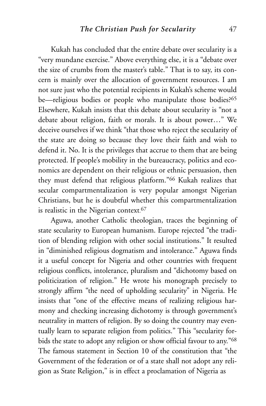Kukah has concluded that the entire debate over secularity is a "very mundane exercise." Above everything else, it is a "debate over the size of crumbs from the master's table." That is to say, its concern is mainly over the allocation of government resources. I am not sure just who the potential recipients in Kukah's scheme would be—religious bodies or people who manipulate those bodies?<sup>65</sup> Elsewhere, Kukah insists that this debate about secularity is "not a debate about religion, faith or morals. It is about power…" We deceive ourselves if we think "that those who reject the secularity of the state are doing so because they love their faith and wish to defend it. No. It is the privileges that accrue to them that are being protected. If people's mobility in the bureaucracy, politics and economics are dependent on their religious or ethnic persuasion, then they must defend that religious platform."66 Kukah realizes that secular compartmentalization is very popular amongst Nigerian Christians, but he is doubtful whether this compartmentalization is realistic in the Nigerian context. 67

Aguwa, another Catholic theologian, traces the beginning of state secularity to European humanism. Europe rejected "the tradition of blending religion with other social institutions." It resulted in "diminished religious dogmatism and intolerance." Aguwa finds it a useful concept for Nigeria and other countries with frequent religious conflicts, intolerance, pluralism and "dichotomy based on politicization of religion." He wrote his monograph precisely to strongly affirm "the need of upholding secularity" in Nigeria. He insists that "one of the effective means of realizing religious harmony and checking increasing dichotomy is through government's neutrality in matters of religion. By so doing the country may eventually learn to separate religion from politics." This "secularity forbids the state to adopt any religion or show official favour to any."68 The famous statement in Section 10 of the constitution that "the Government of the federation or of a state shall not adopt any religion as State Religion," is in effect a proclamation of Nigeria as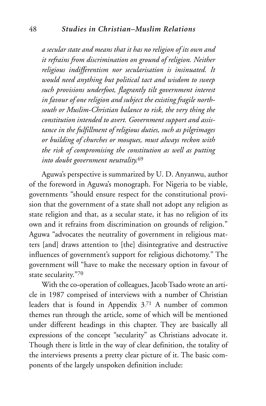*a secular state and means that it has no religion of its own and it refrains from discrimination on ground of religion. Neither religious indifferentism nor secularisation is insinuated. It would need anything but political tact and wisdom to sweep such provisions underfoot, flagrantly tilt government interest in favour of one religion and subject the existing fragile northsouth or Muslim-Christian balance to risk, the very thing the constitution intended to avert. Government support and assistance in the fulfillment of religious duties, such as pilgrimages or building of churches or mosques, must always reckon with the risk of compromising the constitution as well as putting into doubt government neutrality.*<sup>69</sup>

Aguwa's perspective is summarized by U. D. Anyanwu, author of the foreword in Aguwa's monograph. For Nigeria to be viable, governments "should ensure respect for the constitutional provision that the government of a state shall not adopt any religion as state religion and that, as a secular state, it has no religion of its own and it refrains from discrimination on grounds of religion." Aguwa "advocates the neutrality of government in religious matters [and] draws attention to [the] disintegrative and destructive influences of government's support for religious dichotomy." The government will "have to make the necessary option in favour of state secularity."70

With the co-operation of colleagues, Jacob Tsado wrote an article in 1987 comprised of interviews with a number of Christian leaders that is found in Appendix 3. <sup>71</sup> A number of common themes run through the article, some of which will be mentioned under different headings in this chapter. They are basically all expressions of the concept "secularity" as Christians advocate it. Though there is little in the way of clear definition, the totality of the interviews presents a pretty clear picture of it. The basic components of the largely unspoken definition include: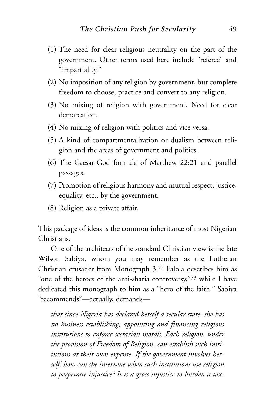- (1) The need for clear religious neutrality on the part of the government. Other terms used here include "referee" and "impartiality."
- (2) No imposition of any religion by government, but complete freedom to choose, practice and convert to any religion.
- (3) No mixing of religion with government. Need for clear demarcation.
- (4) No mixing of religion with politics and vice versa.
- (5) A kind of compartmentalization or dualism between religion and the areas of government and politics.
- (6) The Caesar-God formula of Matthew 22:21 and parallel passages.
- (7) Promotion of religious harmony and mutual respect, justice, equality, etc., by the government.
- (8) Religion as a private affair.

This package of ideas is the common inheritance of most Nigerian Christians.

One of the architects of the standard Christian view is the late Wilson Sabiya, whom you may remember as the Lutheran Christian crusader from Monograph 3.72 Falola describes him as "one of the heroes of the anti-sharia controversy,"73 while I have dedicated this monograph to him as a "hero of the faith." Sabiya "recommends"—actually, demands—

*that since Nigeria has declared herself a secular state, she has no business establishing, appointing and financing religious institutions to enforce sectarian morals. Each religion, under the provision of Freedom of Religion, can establish such institutions at their own expense. If the government involves herself, how can she intervene when such institutions use religion to perpetrate injustice? It is a gross injustice to burden a tax-*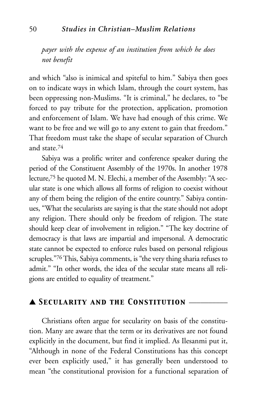*payer with the expense of an institution from which he does not benefit* 

and which "also is inimical and spiteful to him." Sabiya then goes on to indicate ways in which Islam, through the court system, has been oppressing non-Muslims. "It is criminal," he declares, to "be forced to pay tribute for the protection, application, promotion and enforcement of Islam. We have had enough of this crime. We want to be free and we will go to any extent to gain that freedom." That freedom must take the shape of secular separation of Church and state.74

Sabiya was a prolific writer and conference speaker during the period of the Constituent Assembly of the 1970s. In another 1978 lecture,75 he quoted M. N. Elechi, a member of the Assembly: "A secular state is one which allows all forms of religion to coexist without any of them being the religion of the entire country." Sabiya continues, "What the secularists are saying is that the state should not adopt any religion. There should only be freedom of religion. The state should keep clear of involvement in religion." "The key doctrine of democracy is that laws are impartial and impersonal. A democratic state cannot be expected to enforce rules based on personal religious scruples."76 This, Sabiya comments, is "the very thing sharia refuses to admit." "In other words, the idea of the secular state means all religions are entitled to equality of treatment."

## ▲ *Secularity and the Constitution* \_\_\_\_\_\_\_\_\_\_

Christians often argue for secularity on basis of the constitution. Many are aware that the term or its derivatives are not found explicitly in the document, but find it implied. As Ilesanmi put it, "Although in none of the Federal Constitutions has this concept ever been explicitly used," it has generally been understood to mean "the constitutional provision for a functional separation of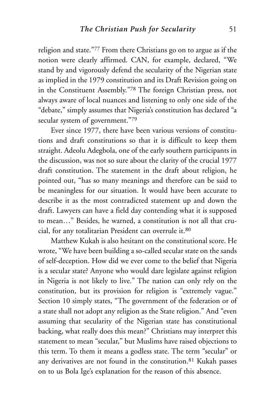religion and state."77 From there Christians go on to argue as if the notion were clearly affirmed. CAN, for example, declared, "We stand by and vigorously defend the secularity of the Nigerian state as implied in the 1979 constitution and its Draft Revision going on in the Constituent Assembly."78 The foreign Christian press, not always aware of local nuances and listening to only one side of the "debate," simply assumes that Nigeria's constitution has declared "a secular system of government."79

Ever since 1977, there have been various versions of constitutions and draft constitutions so that it is difficult to keep them straight. Adeolu Adegbola, one of the early southern participants in the discussion, was not so sure about the clarity of the crucial 1977 draft constitution. The statement in the draft about religion, he pointed out, "has so many meanings and therefore can be said to be meaningless for our situation. It would have been accurate to describe it as the most contradicted statement up and down the draft. Lawyers can have a field day contending what it is supposed to mean…" Besides, he warned, a constitution is not all that crucial, for any totalitarian President can overrule it.80

Matthew Kukah is also hesitant on the constitutional score. He wrote, "We have been building a so-called secular state on the sands of self-deception. How did we ever come to the belief that Nigeria is a secular state? Anyone who would dare legislate against religion in Nigeria is not likely to live." The nation can only rely on the constitution, but its provision for religion is "extremely vague." Section 10 simply states, "The government of the federation or of a state shall not adopt any religion as the State religion." And "even assuming that secularity of the Nigerian state has constitutional backing, what really does this mean?" Christians may interpret this statement to mean "secular," but Muslims have raised objections to this term. To them it means a godless state. The term "secular" or any derivatives are not found in the constitution.81 Kukah passes on to us Bola Ige's explanation for the reason of this absence.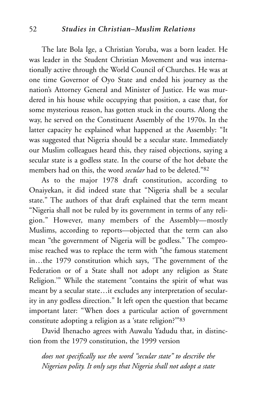#### 52 *Studies in Christian–Muslim Relations*

The late Bola Ige, a Christian Yoruba, was a born leader. He was leader in the Student Christian Movement and was internationally active through the World Council of Churches. He was at one time Governor of Oyo State and ended his journey as the nation's Attorney General and Minister of Justice. He was murdered in his house while occupying that position, a case that, for some mysterious reason, has gotten stuck in the courts. Along the way, he served on the Constituent Assembly of the 1970s. In the latter capacity he explained what happened at the Assembly: "It was suggested that Nigeria should be a secular state. Immediately our Muslim colleagues heard this, they raised objections, saying a secular state is a godless state. In the course of the hot debate the members had on this, the word *secular* had to be deleted."82

As to the major 1978 draft constitution, according to Onaiyekan, it did indeed state that "Nigeria shall be a secular state." The authors of that draft explained that the term meant "Nigeria shall not be ruled by its government in terms of any religion." However, many members of the Assembly—mostly Muslims, according to reports—objected that the term can also mean "the government of Nigeria will be godless." The compromise reached was to replace the term with "the famous statement in…the 1979 constitution which says, 'The government of the Federation or of a State shall not adopt any religion as State Religion.'" While the statement "contains the spirit of what was meant by a secular state…it excludes any interpretation of secularity in any godless direction." It left open the question that became important later: "When does a particular action of government constitute adopting a religion as a 'state religion?'''83

David Ihenacho agrees with Auwalu Yadudu that, in distinction from the 1979 constitution, the 1999 version

*does not specifically use the word "secular state" to describe the Nigerian polity. It only says that Nigeria shall not adopt a state*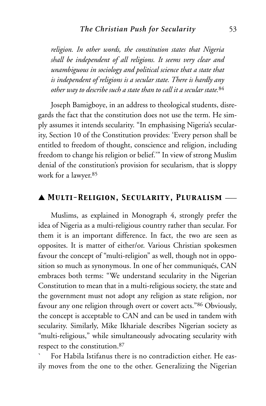*religion. In other words, the constitution states that Nigeria shall be independent of all religions. It seems very clear and unambiguous in sociology and political science that a state that is independent of religions is a secular state. There is hardly any other way to describe such a state than to call it a secular state.*<sup>84</sup>

Joseph Bamigboye, in an address to theological students, disregards the fact that the constitution does not use the term. He simply assumes it intends secularity. "In emphasising Nigeria's secularity, Section 10 of the Constitution provides: 'Every person shall be entitled to freedom of thought, conscience and religion, including freedom to change his religion or belief.'" In view of strong Muslim denial of the constitution's provision for secularism, that is sloppy work for a lawyer.85

#### ▲ *Multi-Religion, Secularity, Pluralism* \_\_\_

Muslims, as explained in Monograph 4, strongly prefer the idea of Nigeria as a multi-religious country rather than secular. For them it is an important difference. In fact, the two are seen as opposites. It is matter of either/or. Various Christian spokesmen favour the concept of "multi-religion" as well, though not in opposition so much as synonymous. In one of her communiqués, CAN embraces both terms: "We understand secularity in the Nigerian Constitution to mean that in a multi-religious society, the state and the government must not adopt any religion as state religion, nor favour any one religion through overt or covert acts."86 Obviously, the concept is acceptable to CAN and can be used in tandem with secularity. Similarly, Mike Ikhariale describes Nigerian society as "multi-religious," while simultaneously advocating secularity with respect to the constitution.87

` For Habila Istifanus there is no contradiction either. He easily moves from the one to the other. Generalizing the Nigerian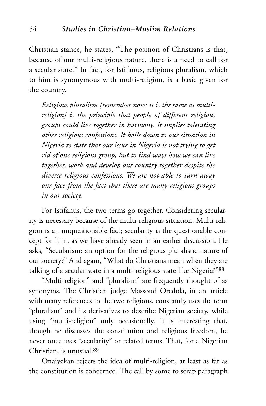Christian stance, he states, "The position of Christians is that, because of our multi-religious nature, there is a need to call for a secular state." In fact, for Istifanus, religious pluralism, which to him is synonymous with multi-religion, is a basic given for the country.

*Religious pluralism [remember now: it is the same as multireligion] is the principle that people of different religious groups could live together in harmony. It implies tolerating other religious confessions. It boils down to our situation in Nigeria to state that our issue in Nigeria is not trying to get rid of one religious group, but to find ways how we can live together, work and develop our country together despite the diverse religious confessions. We are not able to turn away our face from the fact that there are many religious groups in our society.*

For Istifanus, the two terms go together. Considering secularity is necessary because of the multi-religious situation. Multi-religion is an unquestionable fact; secularity is the questionable concept for him, as we have already seen in an earlier discussion. He asks, "Secularism: an option for the religious pluralistic nature of our society?" And again, "What do Christians mean when they are talking of a secular state in a multi-religious state like Nigeria?"88

"Multi-religion" and "pluralism" are frequently thought of as synonyms. The Christian judge Massoud Oredola, in an article with many references to the two religions, constantly uses the term "pluralism" and its derivatives to describe Nigerian society, while using "multi-religion" only occasionally. It is interesting that, though he discusses the constitution and religious freedom, he never once uses "secularity" or related terms. That, for a Nigerian Christian, is unusual.89

Onaiyekan rejects the idea of multi-religion, at least as far as the constitution is concerned. The call by some to scrap paragraph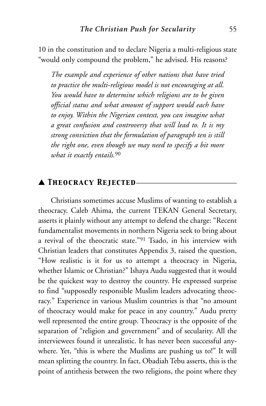10 in the constitution and to declare Nigeria a multi-religious state "would only compound the problem," he advised. His reasons?

*The example and experience of other nations that have tried to practice the multi-religious model is not encouraging at all. You would have to determine which religions are to be given official status and what amount of support would each have to enjoy. Within the Nigerian context, you can imagine what a great confusion and controversy that will lead to. It is my strong conviction that the formulation of paragraph ten is still the right one, even though we may need to specify a bit more what it exactly entails.*<sup>90</sup>

### ▲ *Theocracy Rejected*\_\_\_\_\_\_\_\_\_\_\_\_\_\_\_\_\_\_\_\_\_\_\_\_\_\_

Christians sometimes accuse Muslims of wanting to establish a theocracy. Caleb Ahima, the current TEKAN General Secretary, asserts it plainly without any attempt to defend the charge: "Recent fundamentalist movements in northern Nigeria seek to bring about a revival of the theocratic state."91 Tsado, in his interview with Christian leaders that constitutes Appendix 3, raised the question, "How realistic is it for us to attempt a theocracy in Nigeria, whether Islamic or Christian?" Ishaya Audu suggested that it would be the quickest way to destroy the country. He expressed surprise to find "supposedly responsible Muslim leaders advocating theocracy." Experience in various Muslim countries is that "no amount of theocracy would make for peace in any country." Audu pretty well represented the entire group. Theocracy is the opposite of the separation of "religion and government" and of secularity. All the interviewees found it unrealistic. It has never been successful anywhere. Yet, "this is where the Muslims are pushing us to!" It will mean splitting the country. In fact, Obadiah Tebu asserts, this is the point of antithesis between the two religions, the point where they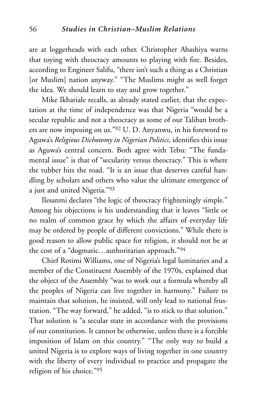are at loggerheads with each other. Christopher Abashiya warns that toying with theocracy amounts to playing with fire. Besides, according to Engineer Salifu, "there isn't such a thing as a Christian [or Muslim] nation anyway." "The Muslims might as well forget the idea. We should learn to stay and grow together."

Mike Ikhariale recalls, as already stated earlier, that the expectation at the time of independence was that Nigeria "would be a secular republic and not a theocracy as some of our Taliban brothers are now imposing on us."92 U. D. Anyanwu, in his foreword to Aguwa's *Religious Dichotomy in Nigerian Politics*, identifies this issue as Aguwa's central concern. Both agree with Tebu: "The fundamental issue" is that of "secularity versus theocracy." This is where the rubber hits the road. "It is an issue that deserves careful handling by scholars and others who value the ultimate emergence of a just and united Nigeria."93

Ilesanmi declares "the logic of theocracy frighteningly simple." Among his objections is his understanding that it leaves "little or no realm of common grace by which the affairs of everyday life may be ordered by people of different convictions." While there is good reason to allow public space for religion, it should not be at the cost of a "dogmatic…authoritarian approach."94

Chief Rotimi Williams, one of Nigeria's legal luminaries and a member of the Constituent Assembly of the 1970s, explained that the object of the Assembly "was to work out a formula whereby all the peoples of Nigeria can live together in harmony." Failure to maintain that solution, he insisted, will only lead to national frustration. "The way forward," he added, "is to stick to that solution." That solution is "a secular state in accordance with the provisions of our constitution. It cannot be otherwise, unless there is a forcible imposition of Islam on this country." "The only way to build a united Nigeria is to explore ways of living together in one country with the liberty of every individual to practice and propagate the religion of his choice."95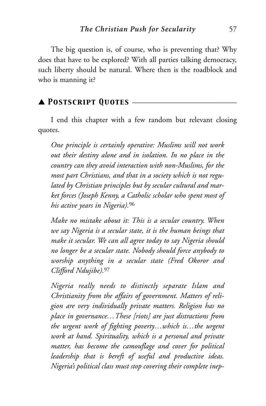The big question is, of course, who is preventing that? Why does that have to be explored? With all parties talking democracy, such liberty should be natural. Where then is the roadblock and who is manning it?

## ▲ *Postscript Quotes* \_\_\_\_\_\_\_\_\_\_\_\_\_\_\_\_\_\_\_\_\_\_\_\_\_\_\_

I end this chapter with a few random but relevant closing quotes.

*One principle is certainly operative: Muslims will not work out their destiny alone and in isolation. In no place in the country can they avoid interaction with non-Muslims, for the most part Christians, and that in a society which is not regulated by Christian principles but by secular cultural and market forces (Joseph Kenny, a Catholic scholar who spent most of his active years in Nigeria).*<sup>96</sup>

*Make no mistake about it: This is a secular country. When we say Nigeria is a secular state, it is the human beings that make it secular. We can all agree today to say Nigeria should no longer be a secular state. Nobody should force anybody to worship anything in a secular state (Fred Okoror and Clifford Ndujibe).*<sup>97</sup>

*Nigeria really needs to distinctly separate Islam and Christianity from the affairs of government. Matters of religion are very individually private matters. Religion has no place in governance…These [riots] are just distractions from the urgent work of fighting poverty…which is…the urgent work at hand. Spirituality, which is a personal and private matter, has become the camouflage and cover for political leadership that is bereft of useful and productive ideas. Nigeria's political class must stop covering their complete inep-*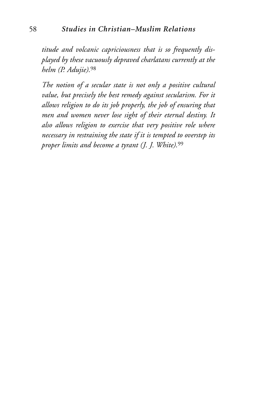*titude and volcanic capriciousness that is so frequently displayed by these vacuously depraved charlatans currently at the helm (P. Adujie).*<sup>98</sup>

*The notion of a secular state is not only a positive cultural value, but precisely the best remedy against secularism. For it allows religion to do its job properly, the job of ensuring that men and women never lose sight of their eternal destiny. It also allows religion to exercise that very positive role where necessary in restraining the state if it is tempted to overstep its proper limits and become a tyrant (J. J. White).*<sup>99</sup>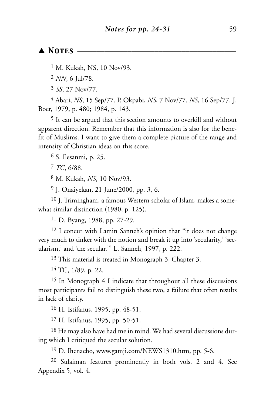#### ▲ *Notes* \_\_\_\_\_\_\_\_\_\_\_\_\_\_\_\_\_\_\_\_\_\_\_\_\_\_\_\_\_\_\_\_\_\_\_\_\_\_\_\_\_

<sup>1</sup> M. Kukah, NS, 10 Nov/93.

2 *NN*, 6 Jul/78.

3 *SS*, 27 Nov/77.

4 Abari, *NS*, 15 Sep/77. P. Okpabi, *NS*, 7 Nov/77. *NS*, 16 Sep/77. J. Boer, 1979, p. 480; 1984, p. 143.

5 It can be argued that this section amounts to overkill and without apparent direction. Remember that this information is also for the benefit of Muslims. I want to give them a complete picture of the range and intensity of Christian ideas on this score.

6 S. Ilesanmi, p. 25.

7 *TC*, 6/88.

8 M. Kukah, *NS*, 10 Nov/93.

9 J. Onaiyekan, 21 June/2000, pp. 3, 6.

10 J. Trimingham, a famous Western scholar of Islam, makes a somewhat similar distinction (1980, p. 125).

11 D. Byang, 1988, pp. 27-29.

12 I concur with Lamin Sanneh's opinion that "it does not change very much to tinker with the notion and break it up into 'secularity,' 'secularism,' and 'the secular.'" L. Sanneh, 1997, p. 222.

13 This material is treated in Monograph 3, Chapter 3.

14 TC, 1/89, p. 22.

15 In Monograph 4 I indicate that throughout all these discussions most participants fail to distinguish these two, a failure that often results in lack of clarity.

16 H. Istifanus, 1995, pp. 48-51.

17 H. Istifanus, 1995, pp. 50-51.

18 He may also have had me in mind. We had several discussions during which I critiqued the secular solution.

19 D. Ihenacho, www.gamji.com/NEWS1310.htm, pp. 5-6.

20 Sulaiman features prominently in both vols. 2 and 4. See Appendix 5, vol. 4.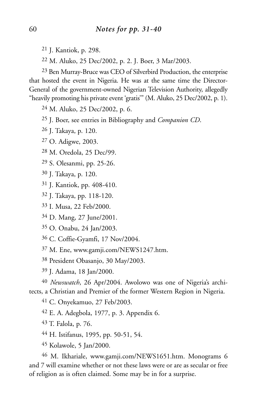- J. Kantiok, p. 298.
- M. Aluko, 25 Dec/2002, p. 2. J. Boer, 3 Mar/2003.

 Ben Murray-Bruce was CEO of Silverbird Production, the enterprise that hosted the event in Nigeria. He was at the same time the Director-General of the government-owned Nigerian Television Authority, allegedly "heavily promoting his private event 'gratis'" (M. Aluko, 25 Dec/2002, p. 1).

M. Aluko, 25 Dec/2002, p. 6.

- J. Boer, see entries in Bibliography and *Companion CD*.
- J. Takaya, p. 120.
- O. Adigwe, 2003.
- M. Oredola, 25 Dec/99.
- S. Olesanmi, pp. 25-26.
- J. Takaya, p. 120.
- J. Kantiok, pp. 408-410.
- J. Takaya, pp. 118-120.
- I. Musa, 22 Feb/2000.
- D. Mang, 27 June/2001.
- O. Onabu, 24 Jan/2003.
- C. Coffie-Gyamfi, 17 Nov/2004.
- M. Ene, www.gamji.com/NEWS1247.htm.
- President Obasanjo, 30 May/2003.
- J. Adama, 18 Jan/2000.

 *Newswatch*, 26 Apr/2004. Awolowo was one of Nigeria's architects, a Christian and Premier of the former Western Region in Nigeria.

C. Onyekamuo, 27 Feb/2003.

- E. A. Adegbola, 1977, p. 3. Appendix 6.
- T. Falola, p. 76.
- H. Istifanus, 1995, pp. 50-51, 54.
- Kolawole, 5 Jan/2000.

 M. Ikhariale, www.gamji.com/NEWS1651.htm. Monograms 6 and 7 will examine whether or not these laws were or are as secular or free of religion as is often claimed. Some may be in for a surprise.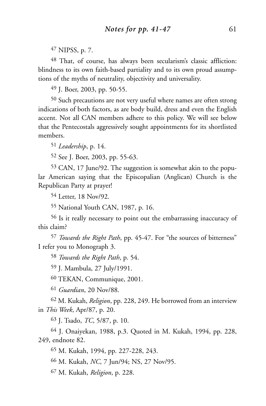NIPSS, p. 7.

 That, of course, has always been secularism's classic affliction: blindness to its own faith-based partiality and to its own proud assumptions of the myths of neutrality, objectivity and universality.

J. Boer, 2003, pp. 50-55.

 Such precautions are not very useful where names are often strong indications of both factors, as are body build, dress and even the English accent. Not all CAN members adhere to this policy. We will see below that the Pentecostals aggressively sought appointments for its shortlisted members.

*Leadership*, p. 14.

See J. Boer, 2003, pp. 55-63.

 CAN, 17 June/92. The suggestion is somewhat akin to the popular American saying that the Episcopalian (Anglican) Church is the Republican Party at prayer!

Letter, 18 Nov/92.

National Youth CAN, 1987, p. 16.

 Is it really necessary to point out the embarrassing inaccuracy of this claim?

 *Towards the Right Path*, pp. 45-47. For "the sources of bitterness" I refer you to Monograph 3.

*Towards the Right Path*, p. 54.

J. Mambula, 27 July/1991.

TEKAN, Communique, 2001.

*Guardian*, 20 Nov/88.

 M. Kukah, *Religion*, pp. 228, 249. He borrowed from an interview in *This Week*, Apr/87, p. 20.

J. Tsado, *TC*, 5/87, p. 10.

 J. Onaiyekan, 1988, p.3. Quoted in M. Kukah, 1994, pp. 228, 249, endnote 82.

M. Kukah, 1994, pp. 227-228, 243.

M. Kukah, *NC*, 7 Jun/94; NS, 27 Nov/95.

M. Kukah, *Religion*, p. 228.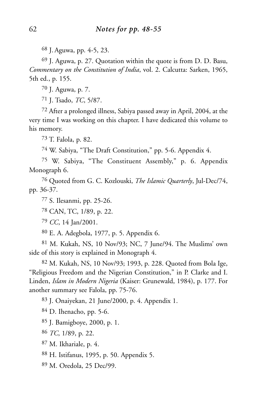J. Aguwa, pp. 4-5, 23.

 J. Aguwa, p. 27. Quotation within the quote is from D. D. Basu, *Commentary on the Constitution of India*, vol. 2. Calcutta: Sarken, 1965, 5th ed., p. 155.

J. Aguwa, p. 7.

J. Tsado, *TC*, 5/87.

 After a prolonged illness, Sabiya passed away in April, 2004, at the very time I was working on this chapter. I have dedicated this volume to his memory.

T. Falola, p. 82.

W. Sabiya, "The Draft Constitution," pp. 5-6. Appendix 4.

 W. Sabiya, "The Constituent Assembly," p. 6. Appendix Monograph 6.

 Quoted from G. C. Kozlouski, *The Islamic Quarterly*, Jul-Dec/74, pp. 36-37.

S. Ilesanmi, pp. 25-26.

CAN, TC, 1/89, p. 22.

*CC*, 14 Jan/2001.

E. A. Adegbola, 1977, p. 5. Appendix 6.

 M. Kukah, NS, 10 Nov/93; NC, 7 June/94. The Muslims' own side of this story is explained in Monograph 4.

 M. Kukah, NS, 10 Nov/93; 1993, p. 228. Quoted from Bola Ige, "Religious Freedom and the Nigerian Constitution," in P. Clarke and I. Linden, *Islam in Modern Nigeria* (Kaiser: Grunewald, 1984), p. 177. For another summary see Falola, pp. 75-76.

J. Onaiyekan, 21 June/2000, p. 4. Appendix 1.

D. Ihenacho, pp. 5-6.

J. Bamigboye, 2000, p. 1.

*TC*, 1/89, p. 22.

M. Ikhariale, p. 4.

H. Istifanus, 1995, p. 50. Appendix 5.

M. Oredola, 25 Dec/99.